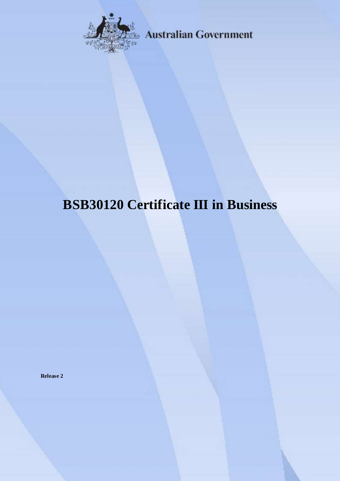

**Australian Government** 

# **BSB30120 Certificate III in Business**

**Release 2**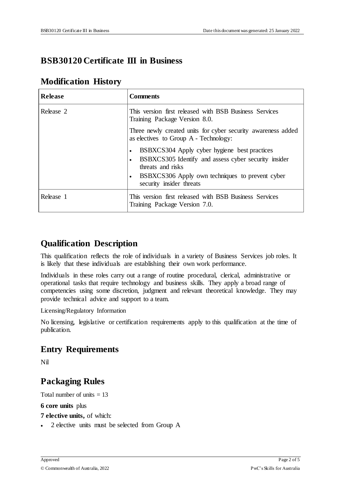## **BSB30120 Certificate III in Business**

## **Modification History**

| <b>Release</b> | <b>Comments</b>                                                                                                                                                                                                       |
|----------------|-----------------------------------------------------------------------------------------------------------------------------------------------------------------------------------------------------------------------|
| Release 2      | This version first released with BSB Business Services<br>Training Package Version 8.0.                                                                                                                               |
|                | Three newly created units for cyber security awareness added<br>as electives to Group A - Technology:                                                                                                                 |
|                | BSBXCS304 Apply cyber hygiene best practices<br>$\bullet$<br>BSBXCS305 Identify and assess cyber security insider<br>threats and risks<br>BSBXCS306 Apply own techniques to prevent cyber<br>security insider threats |
| Release 1      | This version first released with BSB Business Services<br>Training Package Version 7.0.                                                                                                                               |

# **Qualification Description**

This qualification reflects the role of individuals in a variety of Business Services job roles. It is likely that these individuals are establishing their own work performance.

Individuals in these roles carry out a range of routine procedural, clerical, administrative or operational tasks that require technology and business skills. They apply a broad range of competencies using some discretion, judgment and relevant theoretical knowledge. They may provide technical advice and support to a team.

Licensing/Regulatory Information

No licensing, legislative or certification requirements apply to this qualification at the time of publication.

# **Entry Requirements**

Nil

# **Packaging Rules**

Total number of units  $= 13$ 

#### **6 core units** plus

**7 elective units,** of which:

2 elective units must be selected from Group A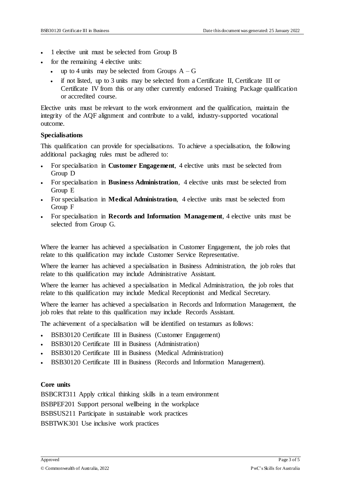- 1 elective unit must be selected from Group B
- for the remaining 4 elective units:
	- up to 4 units may be selected from Groups  $A G$
	- if not listed, up to 3 units may be selected from a Certificate II, Certificate III or Certificate IV from this or any other currently endorsed Training Package qualification or accredited course.

Elective units must be relevant to the work environment and the qualification, maintain the integrity of the AQF alignment and contribute to a valid, industry-supported vocational outcome.

#### **Specialisations**

This qualification can provide for specialisations. To achieve a specialisation, the following additional packaging rules must be adhered to:

- For specialisation in **Customer Engagement**, 4 elective units must be selected from Group D
- For specialisation in **Business Administration**, 4 elective units must be selected from Group E
- For specialisation in **Medical Administration**, 4 elective units must be selected from Group F
- For specialisation in **Records and Information Management**, 4 elective units must be selected from Group G.

Where the learner has achieved a specialisation in Customer Engagement, the job roles that relate to this qualification may include Customer Service Representative.

Where the learner has achieved a specialisation in Business Administration, the job roles that relate to this qualification may include Administrative Assistant.

Where the learner has achieved a specialisation in Medical Administration, the job roles that relate to this qualification may include Medical Receptionist and Medical Secretary.

Where the learner has achieved a specialisation in Records and Information Management, the job roles that relate to this qualification may include Records Assistant.

The achievement of a specialisation will be identified on testamurs as follows:

- BSB30120 Certificate III in Business (Customer Engagement)
- BSB30120 Certificate III in Business (Administration)
- BSB30120 Certificate III in Business (Medical Administration)
- BSB30120 Certificate III in Business (Records and Information Management).

#### **Core units**

BSBCRT311 Apply critical thinking skills in a team environment BSBPEF201 Support personal wellbeing in the workplace BSBSUS211 Participate in sustainable work practices BSBTWK301 Use inclusive work practices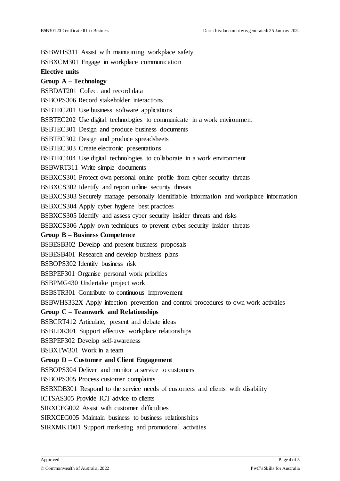BSBWHS311 Assist with maintaining workplace safety

BSBXCM301 Engage in workplace communication

#### **Elective units**

#### **Group A – Technology**

BSBDAT201 Collect and record data

BSBOPS306 Record stakeholder interactions

BSBTEC201 Use business software applications

BSBTEC202 Use digital technologies to communicate in a work environment

BSBTEC301 Design and produce business documents

BSBTEC302 Design and produce spreadsheets

BSBTEC303 Create electronic presentations

BSBTEC404 Use digital technologies to collaborate in a work environment

BSBWRT311 Write simple documents

BSBXCS301 Protect own personal online profile from cyber security threats

BSBXCS302 Identify and report online security threats

BSBXCS303 Securely manage personally identifiable information and workplace information

BSBXCS304 Apply cyber hygiene best practices

BSBXCS305 Identify and assess cyber security insider threats and risks

BSBXCS306 Apply own techniques to prevent cyber security insider threats

#### **Group B – Business Competence**

BSBESB302 Develop and present business proposals

BSBESB401 Research and develop business plans

BSBOPS302 Identify business risk

BSBPEF301 Organise personal work priorities

BSBPMG430 Undertake project work

BSBSTR301 Contribute to continuous improvement

BSBWHS332X Apply infection prevention and control procedures to own work activities

#### **Group C – Teamwork and Relationships**

BSBCRT412 Articulate, present and debate ideas

BSBLDR301 Support effective workplace relationships

BSBPEF302 Develop self-awareness

BSBXTW301 Work in a team

#### **Group D – Customer and Client Engagement**

BSBOPS304 Deliver and monitor a service to customers

BSBOPS305 Process customer complaints

BSBXDB301 Respond to the service needs of customers and clients with disability

ICTSAS305 Provide ICT advice to clients

SIRXCEG002 Assist with customer difficulties

SIRXCEG005 Maintain business to business relationships

SIRXMKT001 Support marketing and promotional activities